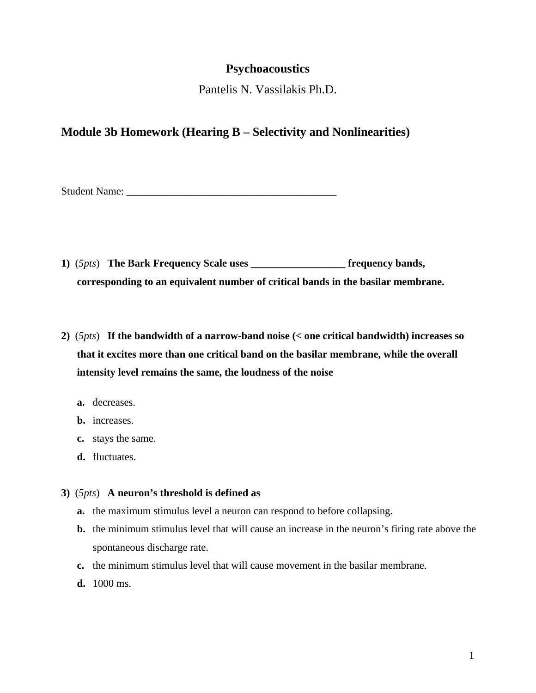## **Psychoacoustics**

Pantelis N. Vassilakis Ph.D.

## **Module 3b Homework (Hearing B – Selectivity and Nonlinearities)**

Student Name:

- **1)** (*5pts*) **The Bark Frequency Scale uses \_\_\_\_\_\_\_\_\_\_\_\_\_\_\_\_\_\_ frequency bands, corresponding to an equivalent number of critical bands in the basilar membrane.**
- **2)** (*5pts*) **If the bandwidth of a narrow-band noise (< one critical bandwidth) increases so that it excites more than one critical band on the basilar membrane, while the overall intensity level remains the same, the loudness of the noise**
	- **a.** decreases.
	- **b.** increases.
	- **c.** stays the same.
	- **d.** fluctuates.

**3)** (*5pts*) **A neuron's threshold is defined as**

- **a.** the maximum stimulus level a neuron can respond to before collapsing.
- **b.** the minimum stimulus level that will cause an increase in the neuron's firing rate above the spontaneous discharge rate.
- **c.** the minimum stimulus level that will cause movement in the basilar membrane.
- **d.** 1000 ms.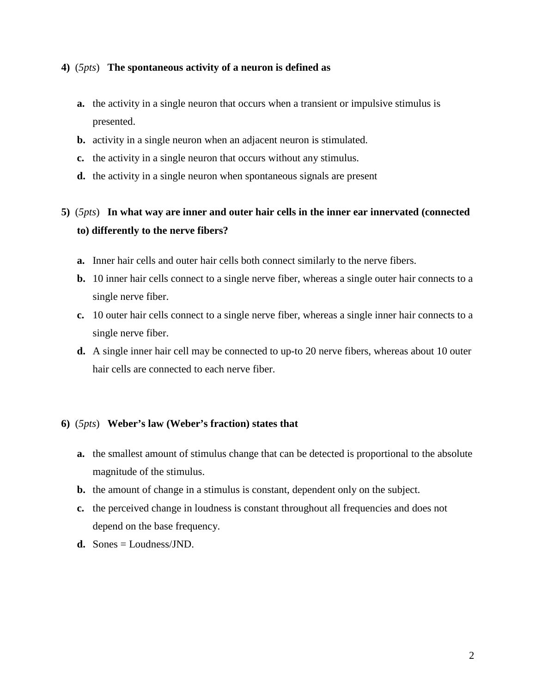## **4)** (*5pts*) **The spontaneous activity of a neuron is defined as**

- **a.** the activity in a single neuron that occurs when a transient or impulsive stimulus is presented.
- **b.** activity in a single neuron when an adjacent neuron is stimulated.
- **c.** the activity in a single neuron that occurs without any stimulus.
- **d.** the activity in a single neuron when spontaneous signals are present

**5)** (*5pts*) **In what way are inner and outer hair cells in the inner ear innervated (connected to) differently to the nerve fibers?** 

- **a.** Inner hair cells and outer hair cells both connect similarly to the nerve fibers.
- **b.** 10 inner hair cells connect to a single nerve fiber, whereas a single outer hair connects to a single nerve fiber.
- **c.** 10 outer hair cells connect to a single nerve fiber, whereas a single inner hair connects to a single nerve fiber.
- **d.** A single inner hair cell may be connected to up-to 20 nerve fibers, whereas about 10 outer hair cells are connected to each nerve fiber.

## **6)** (*5pts*) **Weber's law (Weber's fraction) states that**

- **a.** the smallest amount of stimulus change that can be detected is proportional to the absolute magnitude of the stimulus.
- **b.** the amount of change in a stimulus is constant, dependent only on the subject.
- **c.** the perceived change in loudness is constant throughout all frequencies and does not depend on the base frequency.
- **d.** Sones = Loudness/JND.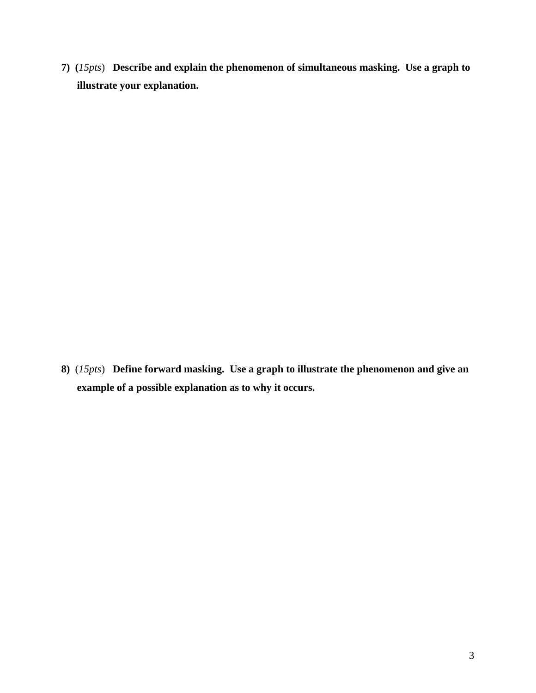**7) (***15pts*) **Describe and explain the phenomenon of simultaneous masking. Use a graph to illustrate your explanation.** 

**8)** (*15pts*) **Define forward masking. Use a graph to illustrate the phenomenon and give an example of a possible explanation as to why it occurs.**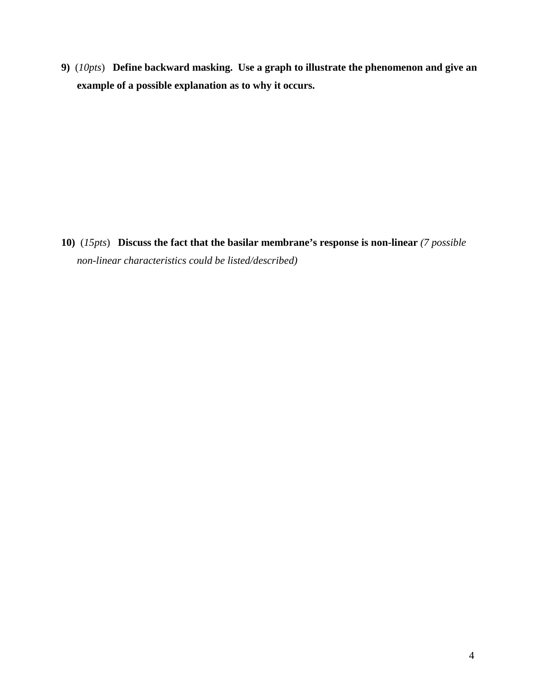**9)** (*10pts*) **Define backward masking. Use a graph to illustrate the phenomenon and give an example of a possible explanation as to why it occurs.**

**10)** (*15pts*) **Discuss the fact that the basilar membrane's response is non-linear** *(7 possible non-linear characteristics could be listed/described)*